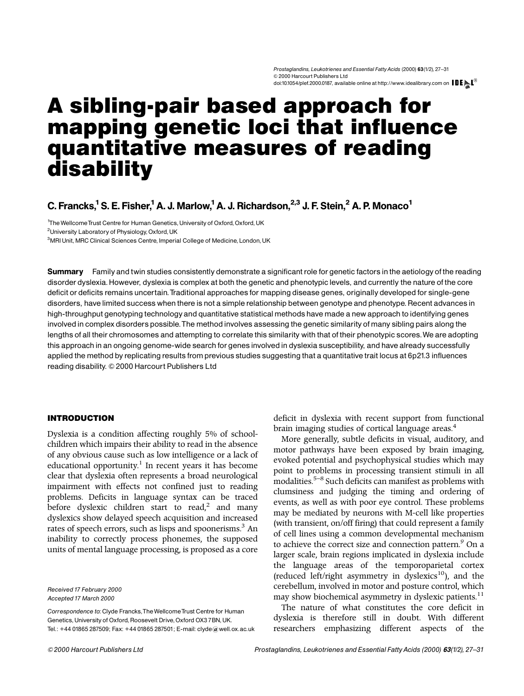# A sibling-pair based approach for mapping genetic loci that influence quantitative measures of reading disability

# C. Francks,<sup>1</sup> S. E. Fisher,<sup>1</sup> A. J. Marlow,<sup>1</sup> A. J. Richardson,<sup>2,3</sup> J. F. Stein,<sup>2</sup> A. P. Monaco<sup>1</sup>

<sup>1</sup>The Wellcome Trust Centre for Human Genetics, University of Oxford, Oxford, UK

<sup>2</sup>University Laboratory of Physiology, Oxford, UK

<sup>3</sup>MRI Unit, MRC Clinical Sciences Centre, Imperial College of Medicine, London, UK

Summary Family and twin studies consistently demonstrate a significant role for genetic factors in the aetiology of the reading disorder dyslexia.However, dyslexia is complex at both the genetic and phenotypic levels, and currently the nature of the core deficit or deficits remains uncertain.Traditional approaches for mapping disease genes, originally developed for single-gene disorders, have limited success when there is not a simple relationship between genotype and phenotype. Recent advances in high-throughput genotyping technology and quantitative statistical methods have made a new approach to identifying genes involvedin complex disorders possible.The method involves assessing the genetic similarity of many sibling pairs along the lengths of all their chromosomes and attempting to correlate this similarity with that of their phenotypic scores.We are adopting this approach in an ongoing genome-wide search forgenesinvolvedin dyslexia susceptibility, and have already successfully applied the method by replicating results from previous studies suggesting that a quantitative trait locus at 6p21.3 influences reading disability. © 2000 Harcourt Publishers Ltd

# INTRODUCTION

Dyslexia is a condition affecting roughly 5% of schoolchildren which impairs their ability to read in the absence of any obvious cause such as low intelligence or a lack of educational opportunity.<sup>1</sup> In recent years it has become clear that dyslexia often represents a broad neurological impairment with effects not confined just to reading problems. Deficits in language syntax can be traced before dyslexic children start to read,<sup>[2](#page-3-0)</sup> and many dyslexics show delayed speech acquisition and increased rates of speech errors, such as lisps and spoonerisms.<sup>[3](#page-3-0)</sup> An inability to correctly process phonemes, the supposed units of mental language processing, is proposed as a core

Received 17 February 2000 Accepted 17 March 2000

Correspondence to: Clyde Francks,TheWellcomeTrust Centre for Human Genetics, University of Oxford, Roosevelt Drive, Oxford OX3 7BN, UK. Tel.: +44 01865 287509; Fax: +44 01865 287501; E-mail: clyde@well.ox.ac.uk deficit in dyslexia with recent support from functional brain imaging studies of cortical language areas.<sup>[4](#page-3-0)</sup>

More generally, subtle deficits in visual, auditory, and motor pathways have been exposed by brain imaging, evoked potential and psychophysical studies which may point to problems in processing transient stimuli in all modalities.<sup>5-8</sup> Such deficits can manifest as problems with clumsiness and judging the timing and ordering of events, as well as with poor eye control. These problems may be mediated by neurons with M-cell like properties (with transient, on/off firing) that could represent a family of cell lines using a common developmental mechanism to achieve the correct size and connection pattern.<sup>9</sup> On a larger scale, brain regions implicated in dyslexia include the language areas of the temporoparietal cortex (reduced left/right asymmetry in dyslexics $^{10}$ ), and the cerebellum, involved in motor and posture control, which may show biochemical asymmetry in dyslexic patients.<sup>[11](#page-3-0)</sup>

The nature of what constitutes the core deficit in dyslexia is therefore still in doubt. With different researchers emphasizing different aspects of the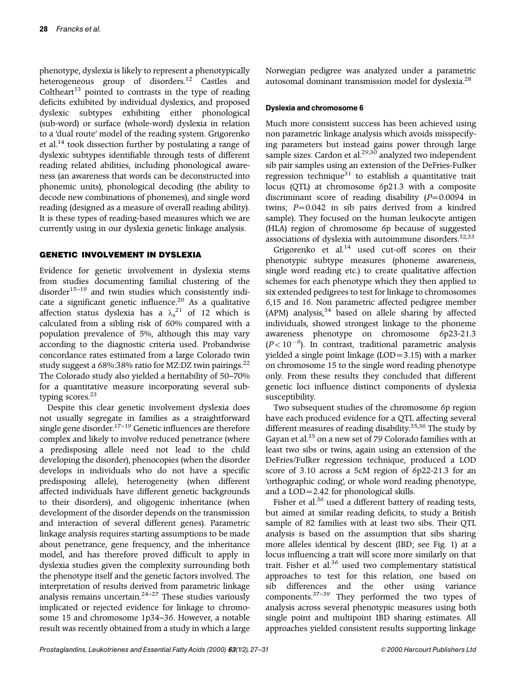phenotype, dyslexia is likely to represent a phenotypically heterogeneous group of disorders.[12](#page-3-0) Castles and Coltheart<sup>[13](#page-3-0)</sup> pointed to contrasts in the type of reading deficits exhibited by individual dyslexics, and proposed dyslexic subtypes exhibiting either phonological (sub-word) or surface (whole-word) dyslexia in relation to a 'dual route' model of the reading system. Grigorenko et al.[14](#page-3-0) took dissection further by postulating a range of dyslexic subtypes identifiable through tests of different reading related abilities, including phonological awareness (an awareness that words can be deconstructed into phonemic units), phonological decoding (the ability to decode new combinations of phonemes), and single word reading (designed as a measure of overall reading ability). It is these types of reading-based measures which we are currently using in our dyslexia genetic linkage analysis.

# GENETIC INVOLVEMENT IN DYSLEXIA

Evidence for genetic involvement in dyslexia stems from studies documenting familial clustering of the disorder<sup>15-19</sup> and twin studies which consistently indi-cate a significant genetic influence.<sup>[20](#page-3-0)</sup> As a qualitative affection status dyslexia has a  $\lambda_s^{21}$  $\lambda_s^{21}$  $\lambda_s^{21}$  of 12 which is calculated from a sibling risk of 60% compared with a population prevalence of 5%, although this may vary according to the diagnostic criteria used. Probandwise concordance rates estimated from a large Colorado twin study suggest a 68%:38% ratio for MZ:DZ twin pairings.[22](#page-3-0) The Colorado study also yielded a heritability of 50-70% for a quantitative measure incorporating several subtyping scores.<sup>23</sup>

Despite this clear genetic involvement dyslexia does not usually segregate in families as a straightforward single gene disorder.<sup>17-19</sup> Genetic influences are therefore complex and likely to involve reduced penetrance (where a predisposing allele need not lead to the child developing the disorder), phenocopies (when the disorder develops in individuals who do not have a specific predisposing allele), heterogeneity (when different affected individuals have different genetic backgrounds to their disorders), and oligogenic inheritance (when development of the disorder depends on the transmission and interaction of several different genes). Parametric linkage analysis requires starting assumptions to be made about penetrance, gene frequency, and the inheritance model, and has therefore proved difficult to apply in dyslexia studies given the complexity surrounding both the phenotype itself and the genetic factors involved. The interpretation of results derived from parametric linkage analysis remains uncertain.<sup>24-27</sup> These studies variously implicated or rejected evidence for linkage to chromosome 15 and chromosome 1p34-36. However, a notable result was recently obtained from a study in which a large

## Dyslexia and chromosome 6

Much more consistent success has been achieved using non parametric linkage analysis which avoids misspecifying parameters but instead gains power through large sample sizes. Cardon et al.<sup>[29,](#page-3-0)[30](#page-4-0)</sup> analyzed two independent sib pair samples using an extension of the DeFries-Fulker regression technique $31$  to establish a quantitative trait locus (QTL) at chromosome 6p21.3 with a composite discriminant score of reading disability ( $P=0.0094$  in twins;  $P = 0.042$  in sib pairs derived from a kindred sample). They focused on the human leukocyte antigen (HLA) region of chromosome 6p because of suggested associations of dyslexia with autoimmune disorders.<sup>[32,33](#page-4-0)</sup>

Norwegian pedigree was analyzed under a parametric

Grigorenko et al.<sup>14</sup> used cut-off scores on their phenotypic subtype measures (phoneme awareness, single word reading etc.) to create qualitative affection schemes for each phenotype which they then applied to six extended pedigrees to test for linkage to chromosomes 6,15 and 16. Non parametric affected pedigree member (APM) analysis, $34$  based on allele sharing by affected individuals, showed strongest linkage to the phoneme awareness phenotype on chromosome 6p23-21.3  $(P<10^{-6})$ . In contrast, traditional parametric analysis yielded a single point linkage (LOD = 3.15) with a marker on chromosome 15 to the single word reading phenotype only. From these results they concluded that different genetic loci influence distinct components of dyslexia susceptibility.

Two subsequent studies of the chromosome 6p region have each produced evidence for a QTL affecting several different measures of reading disability. $35,36$  The study by Gayan et al.<sup>35</sup> on a new set of 79 Colorado families with at least two sibs or twins, again using an extension of the DeFries/Fulker regression technique, produced a LOD score of 3.10 across a 5cM region of 6p22-21.3 for an `orthographic coding', or whole word reading phenotype, and a  $LOD = 2.42$  for phonological skills.

Fisher et al.<sup>[36](#page-4-0)</sup> used a different battery of reading tests, but aimed at similar reading deficits, to study a British sample of 82 families with at least two sibs. Their QTL analysis is based on the assumption that sibs sharing more alleles identical by descent (IBD; see [Fig. 1\)](#page-2-0) at a locus influencing a trait will score more similarly on that trait. Fisher et al.<sup>[36](#page-4-0)</sup> used two complementary statistical approaches to test for this relation, one based on sib differences and the other using variance components. $37-39$  They performed the two types of analysis across several phenotypic measures using both single point and multipoint IBD sharing estimates. All approaches yielded consistent results supporting linkage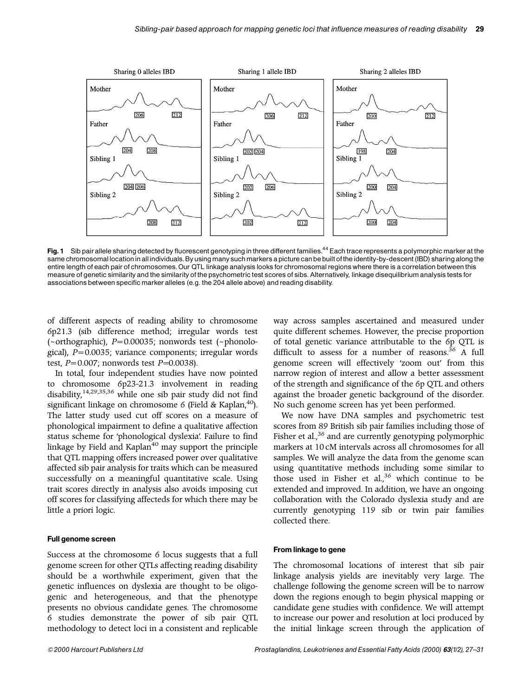<span id="page-2-0"></span>

Fig. 1 Sib pair allele sharing detected by fluorescent genotyping in three different families.<sup>44</sup> Each trace represents a polymorphic marker at the same chromosomal location in all individuals. By using many such markers a picture can be built of the identity-by-descent (IBD) sharing along the entire length of each pair of chromosomes.Our QTL linkage analysislooks for chromosomal regions where there is a correlation between this measure of genetic similarity and the similarity of the psychometric test scores of sibs. Alternatively, linkage disequilibrium analysis tests for associations between specific marker alleles (e.g. the 204 allele above) and reading disability.

of different aspects of reading ability to chromosome 6p21.3 (sib difference method; irregular words test  $(-$ orthographic),  $P=0.00035$ ; nonwords test  $(-$ phonological), *P* = 0.0035; variance components; irregular words test,  $P = 0.007$ ; nonwords test  $P = 0.0038$ ).

In total, four independent studies have now pointed to chromosome 6p23-21.3 involvement in reading disability,[14,29](#page-3-0)[,35,36](#page-4-0) while one sib pair study did not find significant linkage on chromosome 6 (Field & Kaplan,<sup>40</sup>). The latter study used cut off scores on a measure of phonological impairment to define a qualitative affection status scheme for 'phonological dyslexia'. Failure to find linkage by Field and Kaplan $40$  may support the principle that QTL mapping offers increased power over qualitative affected sib pair analysis for traits which can be measured successfully on a meaningful quantitative scale. Using trait scores directly in analysis also avoids imposing cut off scores for classifying affecteds for which there may be little a priori logic.

#### Full genome screen

Success at the chromosome 6 locus suggests that a full genome screen for other QTLs affecting reading disability should be a worthwhile experiment, given that the genetic influences on dyslexia are thought to be oligogenic and heterogeneous, and that the phenotype presents no obvious candidate genes. The chromosome 6 studies demonstrate the power of sib pair QTL methodology to detect loci in a consistent and replicable

way across samples ascertained and measured under quite different schemes. However, the precise proportion of total genetic variance attributable to the 6p QTL is difficult to assess for a number of reasons.<sup>[36](#page-4-0)</sup> A full genome screen will effectively 'zoom out' from this narrow region of interest and allow a better assessment of the strength and significance of the 6p QTL and others against the broader genetic background of the disorder. No such genome screen has yet been performed.

We now have DNA samples and psychometric test scores from 89 British sib pair families including those of Fisher et al.,<sup>[36](#page-4-0)</sup> and are currently genotyping polymorphic markers at 10 cM intervals across all chromosomes for all samples. We will analyze the data from the genome scan using quantitative methods including some similar to those used in Fisher et al.,<sup>[36](#page-4-0)</sup> which continue to be extended and improved. In addition, we have an ongoing collaboration with the Colorado dyslexia study and are currently genotyping 119 sib or twin pair families collected there.

#### From linkage to gene

The chromosomal locations of interest that sib pair linkage analysis yields are inevitably very large. The challenge following the genome screen will be to narrow down the regions enough to begin physical mapping or candidate gene studies with confidence. We will attempt to increase our power and resolution at loci produced by the initial linkage screen through the application of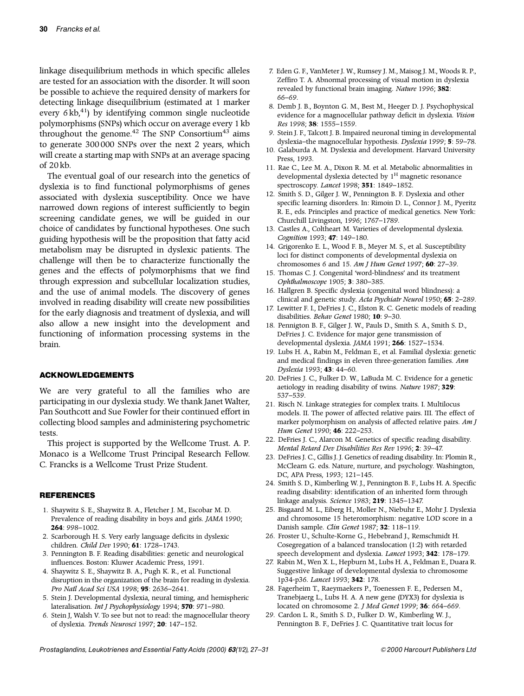<span id="page-3-0"></span>linkage disequilibrium methods in which specific alleles are tested for an association with the disorder. It will soon be possible to achieve the required density of markers for detecting linkage disequilibrium (estimated at 1 marker every  $6 \text{ kb}^{41}$  by identifying common single nucleotide polymorphisms (SNPs) which occur on average every 1 kb throughout the genome.<sup>[42](#page-4-0)</sup> The SNP Consortium<sup>[43](#page-4-0)</sup> aims to generate 300 000 SNPs over the next 2 years, which will create a starting map with SNPs at an average spacing of 20 kb.

The eventual goal of our research into the genetics of dyslexia is to find functional polymorphisms of genes associated with dyslexia susceptibility. Once we have narrowed down regions of interest sufficiently to begin screening candidate genes, we will be guided in our choice of candidates by functional hypotheses. One such guiding hypothesis will be the proposition that fatty acid metabolism may be disrupted in dyslexic patients. The challenge will then be to characterize functionally the genes and the effects of polymorphisms that we find through expression and subcellular localization studies, and the use of animal models. The discovery of genes involved in reading disability will create new possibilities for the early diagnosis and treatment of dyslexia, and will also allow a new insight into the development and functioning of information processing systems in the brain.

#### ACKNOWLEDGEMENTS

We are very grateful to all the families who are participating in our dyslexia study. We thank Janet Walter, Pan Southcott and Sue Fowler for their continued effort in collecting blood samples and administering psychometric tests.

This project is supported by the Wellcome Trust. A. P. Monaco is a Wellcome Trust Principal Research Fellow. C. Francks is a Wellcome Trust Prize Student.

### **REFERENCES**

- 1. Shaywitz S. E., Shaywitz B. A., Fletcher J. M., Escobar M. D. Prevalence of reading disability in boys and girls. *JAMA* 1990; **264**: 998-1002.
- 2. Scarborough H. S. Very early language deficits in dyslexic children. *Child Dev* 1990; 61: 1728-1743.
- 3. Pennington B. F. Reading disabilities: genetic and neurological influences. Boston: Kluwer Academic Press, 1991.
- 4. Shaywitz S. E., Shaywitz B. A., Pugh K. R., et al. Functional disruption in the organization of the brain for reading in dyslexia. Pro Natl Acad Sci USA 1998; 95: 2636-2641.
- 5. Stein J. Developmental dyslexia, neural timing, and hemispheric lateralisation. *Int J Psychophysiology* 1994; **570**: 971-980.
- 6. Stein J, Walsh V. To see but not to read: the magnocellular theory of dyslexia. *Trends Neurosci* 1997; 20: 147-152.
- 7. Eden G. F., VanMeter J. W., Rumsey J. M., Maisog J. M., Woods R. P., Zeffiro T. A. Abnormal processing of visual motion in dyslexia revealed by functional brain imaging. *Nature* 1996; **382**: 66±69.
- 8. Demb J. B., Boynton G. M., Best M., Heeger D. J. Psychophysical evidence for a magnocellular pathway deficit in dyslexia. *Vision Res* 1998; **38**: 1555±1559.
- 9. Stein J. F., Talcott J. B. Impaired neuronal timing in developmental dyslexia-the magnocellular hypothesis. *Dyslexia* 1999; **5**: 59-78.
- 10. Galaburda A. M. Dyslexia and development. Harvard University Press, 1993.
- 11. Rae C., Lee M. A., Dixon R. M. et al. Metabolic abnormalities in developmental dyslexia detected by  $1<sup>H</sup>$  magnetic resonance spectroscopy. *Lancet* 1998; 351: 1849-1852.
- 12. Smith S. D., Gilger J. W., Pennington B. F. Dyslexia and other specific learning disorders. In: Rimoin D. L., Connor J. M., Pyeritz R. E., eds. Principles and practice of medical genetics. New York: Churchill Livingston, 1996; 1767-1789.
- 13. Castles A., Coltheart M. Varieties of developmental dyslexia. *Cognition* 1993; 47: 149-180.
- 14. Grigorenko E. L., Wood F. B., Meyer M. S., et al. Susceptibility loci for distinct components of developmental dyslexia on chromosomes 6 and 15. Am J Hum Genet 1997; 60: 27-39.
- 15. Thomas C. J. Congenital 'word-blindness' and its treatment *Ophthalmoscope* 1905; **3**: 380±385.
- 16. Hallgren B. Specific dyslexia (congenital word blindness): a clinical and genetic study. *Acta Psychiatr Neurol* 1950: **65**: 2-289.
- 17. Lewitter F. I., DeFries J. C., Elston R. C. Genetic models of reading disabilities. *Behav Genet* 1980; 10: 9-30.
- 18. Pennigton B. F., Gilger J. W., Pauls D., Smith S. A., Smith S. D., DeFries J. C. Evidence for major gene transmission of developmental dyslexia. *JAMA* 1991; **266**: 1527-1534.
- 19. Lubs H. A., Rabin M., Feldman E., et al. Familial dyslexia: genetic and medical findings in eleven three-generation families. *Ann Dyslexia* 1993; 43: 44-60.
- 20. DeFries J. C., Fulker D. W., LaBuda M. C. Evidence for a genetic aetiology in reading disability of twins. *Nature* 1987; **329**: 537±539.
- 21. Risch N. Linkage strategies for complex traits. I. Multilocus models. II. The power of affected relative pairs. III. The effect of marker polymorphism on analysis of affected relative pairs. *Am J* Hum Genet 1990; 46: 222-253.
- 22. DeFries J. C., Alarcon M. Genetics of specific reading disability. *Mental Retard Dev Disabilities Res Rev 1996; 2: 39-47.*
- 23. DeFries J. C., Gillis J. J. Genetics of reading disability. In: Plomin R., McClearn G. eds. Nature, nurture, and psychology. Washington, DC, APA Press, 1993; 121-145.
- 24. Smith S. D., Kimberling W. J., Pennington B. F., Lubs H. A. Specific reading disability: identification of an inherited form through linkage analysis. *Science* 1983; **219**: 1345-1347.
- 25. Bisgaard M. L., Eiberg H., Moller N., Niebuhr E., Mohr J. Dyslexia and chromosome 15 heteromorphism: negative LOD score in a Danish sample. *Clin Genet* 1987; **32**: 118-119.
- 26. Froster U., Schulte-Korne G., Hebebrand J., Remschmidt H. Cosegregation of a balanced translocation (1:2) with retarded speech development and dyslexia. *Lancet* 1993; **342**: 178-179.
- 27. Rabin M., Wen X. L., Hepburn M., Lubs H. A., Feldman E., Duara R. Suggestive linkage of developmental dyslexia to chromosome 1p34-p36. *Lancet* 1993; **342**: 178.
- 28. Fagerheim T., Raeymaekers P., Toenessen F. E., Pedersen M., Tranebjaerg L., Lubs H. A. A new gene (DYX3) for dyslexia is located on chromosome 2. *J Med Genet* 1999; **36**: 664-669.
- 29. Cardon L. R., Smith S. D., Fulker D. W., Kimberling W. J., Pennington B. F., DeFries J. C. Quantitative trait locus for